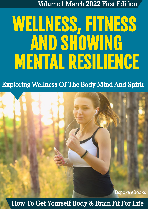Volume 1 March 2022 First Edition

# WELLNESS, FITNESS AND SHOWING MENTAL RESILIENCE

### Exploring Wellness Of The Body Mind And Spirit



How To Get Yourself Body & Brain Fit For Life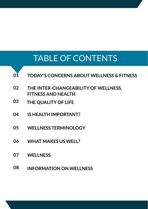## TABLE OF CONTENTS



- **02 THE INTER-CHANGEABILITY OF WELLNESS, FITNESS AND HEALTH**
- **03 THE QUALITY OF LIFE**
- **04 IS HEALTH IMPORTANT?**
- **05 WELLNESS TERMINOLOGY**
- **06 WHAT MAKES US WELL?**
- **07 WELLNESS**
- **08 INFORMATION ON WELLNESS**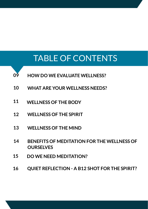## TABLE OF CONTENTS

- **09 HOW DO WE EVALUATE WELLNESS?**
- **10 WHAT ARE YOUR WELLNESS NEEDS?**
- **11 WELLNESS OF THE BODY**
- **12 WELLNESS OF THE SPIRIT**
- **13 WELLNESS OF THE MIND**
- **14 BENEFITS OF MEDITATION FOR THE WELLNESS OF OURSELVES**
- **15 DO WE NEED MEDITATION?**
- **16 QUIET REFLECTION - A B12 SHOT FOR THE SPIRIT?**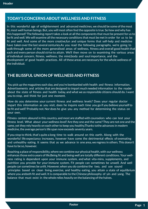#### **TODAY'S CONCERNS ABOUT WELLNESS AND FITNESS**

In this wonderful age of enlightenment and advanced medicines, we should be some ofthe most fit, most well human beings. But, you will most often find the opposite is true. So how and why has this happened? The following report takes a look at all the components that must be present for us to be fit and well. We will examine all the necessary conditions that must be met in order for us to be fit and well. And some of the more creative, fun and unique forms that self-help and medicine have taken over the last several centuries.As you read the following paragraphs, we're going to walk through some of the more generalised areas of wellness, fitness and overall good health that each and every person should strive to attain. We'll then move on to examining the various areas of individual concern, fitness, wellness, the mind,body and soul importance, and the development of good health practices. All ofthese areas are necessary for the whole wellness of the individual.

#### **THE BLISSFUL UNION OF WELLNESS AND FITNESS**

You pick up the magazines each day, and you're bombarded with health and fitness information. Advertisements and articles that are designed to impart much needed information to the reader about the state of fitness and health today, and what we as responsible citizens should do. I want you to stop, and think for just one moment.

How do you determine your current fitness and wellness levels? Does your regular doctor impart this information as you visit, does he inquire each time you go if you believe yourself to be fit and well? Probably not. Nor does he give you any method for determining the status on your own.

Fitness centers abound in this country, and most are staffed with counselors who can test your fitness level. What about your wellness level? Are they one and the same? They are not one and the same, yet they rely heavily on each other to keep you healthy.Thanks tothe advances in modern medicine, the average person's life span now exceeds seventy years.

If you stop to think,that's quite a long time to walk around on this earth. Along with the wonderful life expectancy increases, however have come the detrimental effects of overeating and unhealthy eating. It seems that as we advance in one area, we regress in others. This doesn't have to be so, however.

Reaching a place of responsibility, where we combine our physical health, with our wellness enhances those extra years of life.Being fit and being well are totally different conditions. Your wellness rating is dependent upon your immune system, and what vita-mins, supplements, and nutrition you provide for your immune system. Fit people can sometimes be unwell. And well people can sometimes be unfit. However, when you do combine the two, and use sound principles based on clean living, exercise, and healthy eating, you attain a state of equilibrium where you areboth fit and well. It is comparable to the Chinese philosophy of yin and yang. The balance that must exist in the whole relies heavily on the balancing ofthe halves.